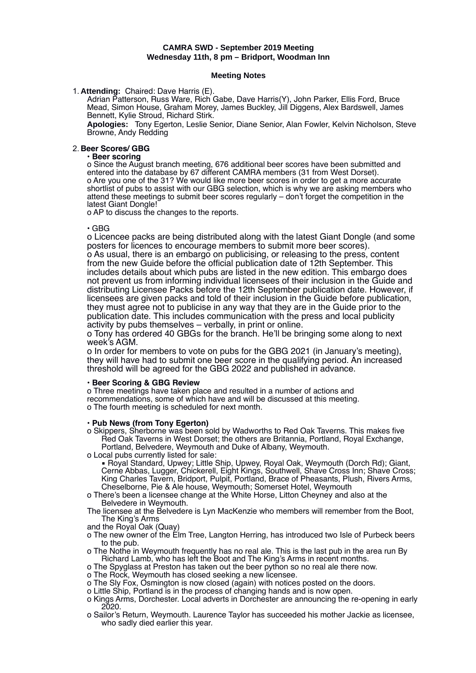# **CAMRA SWD - September 2019 Meeting Wednesday 11th, 8 pm – Bridport, Woodman Inn**

### **Meeting Notes**

1. **Attending:** Chaired: Dave Harris (E).

Adrian Patterson, Russ Ware, Rich Gabe, Dave Harris(Y), John Parker, Ellis Ford, Bruce Mead, Simon House, Graham Morey, James Buckley, Jill Diggens, Alex Bardswell, James Bennett, Kylie Stroud, Richard Stirk.

**Apologies:** Tony Egerton, Leslie Senior, Diane Senior, Alan Fowler, Kelvin Nicholson, Steve Browne, Andy Redding

## 2. **Beer Scores/ GBG**

### • **Beer scoring**

o Since the August branch meeting, 676 additional beer scores have been submitted and entered into the database by 67 different CAMRA members (31 from West Dorset). o Are you one of the 31? We would like more beer scores in order to get a more accurate shortlist of pubs to assist with our GBG selection, which is why we are asking members who attend these meetings to submit beer scores regularly – don't forget the competition in the latest Giant Dongle!

o AP to discuss the changes to the reports.

### • GBG

o Licencee packs are being distributed along with the latest Giant Dongle (and some posters for licences to encourage members to submit more beer scores). o As usual, there is an embargo on publicising, or releasing to the press, content from the new Guide before the official publication date of 12th September. This includes details about which pubs are listed in the new edition. This embargo does not prevent us from informing individual licensees of their inclusion in the Guide and distributing Licensee Packs before the 12th September publication date. However, if licensees are given packs and told of their inclusion in the Guide before publication, they must agree not to publicise in any way that they are in the Guide prior to the publication date. This includes communication with the press and local publicity activity by pubs themselves – verbally, in print or online.

o Tony has ordered 40 GBGs for the branch. He'll be bringing some along to next week's AGM.

o In order for members to vote on pubs for the GBG 2021 (in January's meeting), they will have had to submit one beer score in the qualifying period. An increased threshold will be agreed for the GBG 2022 and published in advance.

## • **Beer Scoring & GBG Review**

o Three meetings have taken place and resulted in a number of actions and recommendations, some of which have and will be discussed at this meeting. o The fourth meeting is scheduled for next month.

#### • **Pub News (from Tony Egerton)**

- o Skippers, Sherborne was been sold by Wadworths to Red Oak Taverns. This makes five Red Oak Taverns in West Dorset; the others are Britannia, Portland, Royal Exchange, Portland, Belvedere, Weymouth and Duke of Albany, Weymouth.
- o Local pubs currently listed for sale:
- Royal Standard, Upwey; Little Ship, Upwey, Royal Oak, Weymouth (Dorch Rd); Giant, Cerne Abbas, Lugger, Chickerell, Eight Kings, Southwell, Shave Cross Inn; Shave Cross; King Charles Tavern, Bridport, Pulpit, Portland, Brace of Pheasants, Plush, Rivers Arms, Cheselborne, Pie & Ale house, Weymouth; Somerset Hotel, Weymouth
- o There's been a licensee change at the White Horse, Litton Cheyney and also at the Belvedere in Weymouth.
- The licensee at the Belvedere is Lyn MacKenzie who members will remember from the Boot, The King's Arms
- and the Royal Oak (Quay)
- o The new owner of the Elm Tree, Langton Herring, has introduced two Isle of Purbeck beers to the pub.
- o The Nothe in Weymouth frequently has no real ale. This is the last pub in the area run By Richard Lamb, who has left the Boot and The King's Arms in recent months.
- o The Spyglass at Preston has taken out the beer python so no real ale there now.
- o The Rock, Weymouth has closed seeking a new licensee.
- o The Sly Fox, Osmington is now closed (again) with notices posted on the doors.
- o Little Ship, Portland is in the process of changing hands and is now open.
- o Kings Arms, Dorchester. Local adverts in Dorchester are announcing the re-opening in early 2020.
- o Sailor's Return, Weymouth. Laurence Taylor has succeeded his mother Jackie as licensee, who sadly died earlier this year.